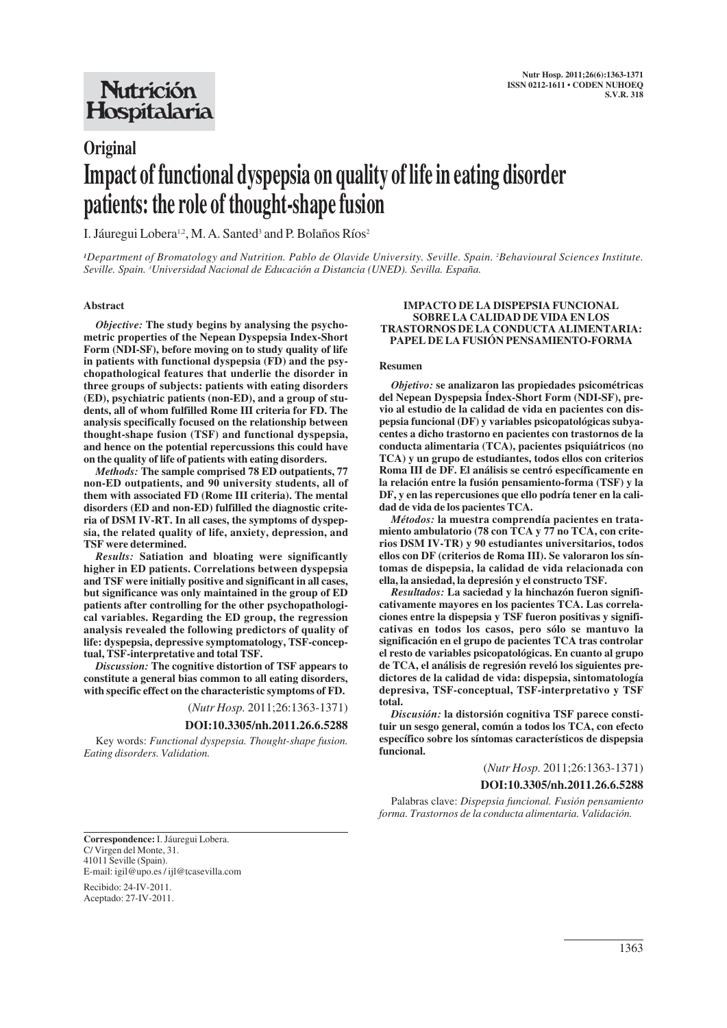## **Nutrición** Hospitalaria

# **Original Impact of functional dyspepsia on quality of life in eating disorder patients: the role of thought-shape fusion**

I. Jáuregui Lobera<sup>1,2</sup>, M. A. Santed<sup>3</sup> and P. Bolaños Ríos<sup>2</sup>

*1Department of Bromatology and Nutrition. Pablo de Olavide University. Seville. Spain. 2 Behavioural Sciences Institute. Seville. Spain. 3 Universidad Nacional de Educación a Distancia (UNED). Sevilla. España.*

#### **Abstract**

*Objective:* **The study begins by analysing the psychometric properties of the Nepean Dyspepsia Index-Short Form (NDI-SF), before moving on to study quality of life in patients with functional dyspepsia (FD) and the psychopathological features that underlie the disorder in three groups of subjects: patients with eating disorders (ED), psychiatric patients (non-ED), and a group of students, all of whom fulfilled Rome III criteria for FD. The analysis specifically focused on the relationship between thought-shape fusion (TSF) and functional dyspepsia, and hence on the potential repercussions this could have on the quality of life of patients with eating disorders.**

*Methods:* **The sample comprised 78 ED outpatients, 77 non-ED outpatients, and 90 university students, all of them with associated FD (Rome III criteria). The mental disorders (ED and non-ED) fulfilled the diagnostic criteria of DSM IV-RT. In all cases, the symptoms of dyspepsia, the related quality of life, anxiety, depression, and TSF were determined.**

*Results:* **Satiation and bloating were significantly higher in ED patients. Correlations between dyspepsia and TSF were initially positive and significant in all cases, but significance was only maintained in the group of ED patients after controlling for the other psychopathological variables. Regarding the ED group, the regression analysis revealed the following predictors of quality of life: dyspepsia, depressive symptomatology, TSF-conceptual, TSF-interpretative and total TSF.**

*Discussion:* **The cognitive distortion of TSF appears to constitute a general bias common to all eating disorders, with specific effect on the characteristic symptoms of FD.**

(*Nutr Hosp.* 2011;26:1363-1371)

#### **DOI:10.3305/nh.2011.26.6.5288**

Key words: *Functional dyspepsia. Thought-shape fusion. Eating disorders. Validation.*

#### **IMPACTO DE LA DISPEPSIA FUNCIONAL SOBRE LA CALIDAD DE VIDA EN LOS TRASTORNOS DE LA CONDUCTA ALIMENTARIA: PAPEL DE LA FUSIÓN PENSAMIENTO-FORMA**

#### **Resumen**

*Objetivo:* **se analizaron las propiedades psicométricas del Nepean Dyspepsia Índex-Short Form (NDI-SF), previo al estudio de la calidad de vida en pacientes con dispepsia funcional (DF) y variables psicopatológicas subyacentes a dicho trastorno en pacientes con trastornos de la conducta alimentaria (TCA), pacientes psiquiátricos (no TCA) y un grupo de estudiantes, todos ellos con criterios Roma III de DF. El análisis se centró específicamente en la relación entre la fusión pensamiento-forma (TSF) y la DF, y en las repercusiones que ello podría tener en la calidad de vida de los pacientes TCA.**

*Métodos:* **la muestra comprendía pacientes en tratamiento ambulatorio (78 con TCA y 77 no TCA, con criterios DSM IV-TR) y 90 estudiantes universitarios, todos ellos con DF (criterios de Roma III). Se valoraron los síntomas de dispepsia, la calidad de vida relacionada con ella, la ansiedad, la depresión y el constructo TSF.**

*Resultados:* **La saciedad y la hinchazón fueron significativamente mayores en los pacientes TCA. Las correlaciones entre la dispepsia y TSF fueron positivas y significativas en todos los casos, pero sólo se mantuvo la significación en el grupo de pacientes TCA tras controlar el resto de variables psicopatológicas. En cuanto al grupo de TCA, el análisis de regresión reveló los siguientes predictores de la calidad de vida: dispepsia, sintomatología depresiva, TSF-conceptual, TSF-interpretativo y TSF total.**

*Discusión:* **la distorsión cognitiva TSF parece constituir un sesgo general, común a todos los TCA, con efecto específico sobre los síntomas característicos de dispepsia funcional.**

(*Nutr Hosp.* 2011;26:1363-1371)

#### **DOI:10.3305/nh.2011.26.6.5288**

Palabras clave: *Dispepsia funcional. Fusión pensamiento forma. Trastornos de la conducta alimentaria. Validación.*

**Correspondence:** I. Jáuregui Lobera. C/ Virgen del Monte, 31. 41011 Seville (Spain). E-mail: igil@upo.es / ijl@tcasevilla.com

Recibido: 24-IV-2011. Aceptado: 27-IV-2011.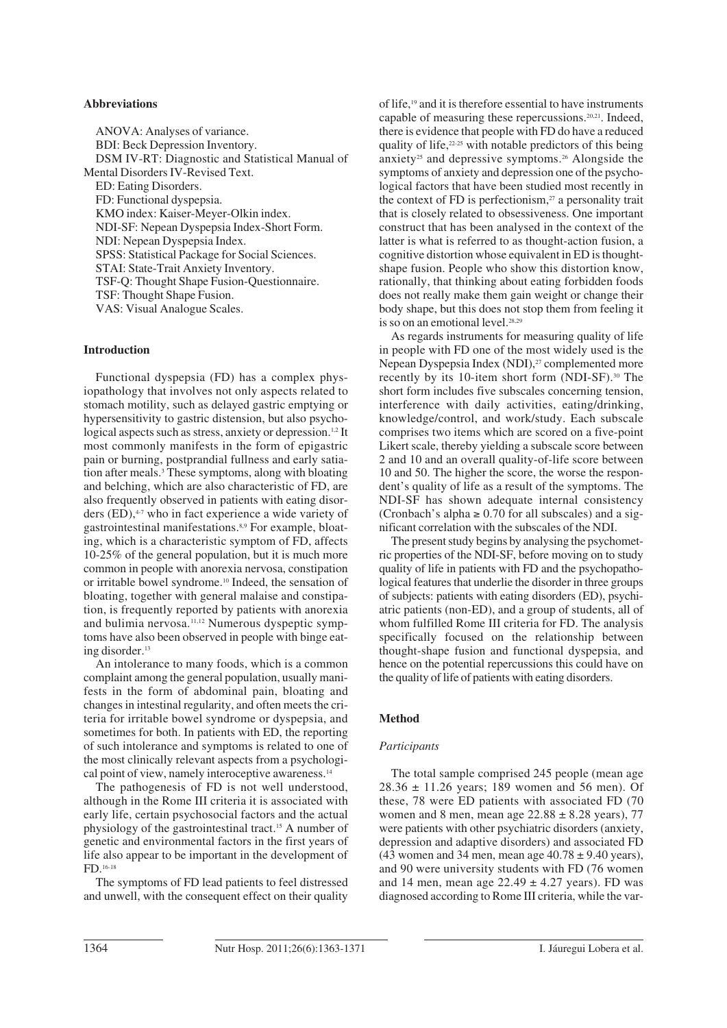#### **Abbreviations**

ANOVA: Analyses of variance. BDI: Beck Depression Inventory. DSM IV-RT: Diagnostic and Statistical Manual of Mental Disorders IV-Revised Text. ED: Eating Disorders. FD: Functional dyspepsia. KMO index: Kaiser-Meyer-Olkin index. NDI-SF: Nepean Dyspepsia Index-Short Form. NDI: Nepean Dyspepsia Index. SPSS: Statistical Package for Social Sciences. STAI: State-Trait Anxiety Inventory. TSF-Q: Thought Shape Fusion-Questionnaire. TSF: Thought Shape Fusion. VAS: Visual Analogue Scales.

#### **Introduction**

Functional dyspepsia (FD) has a complex physiopathology that involves not only aspects related to stomach motility, such as delayed gastric emptying or hypersensitivity to gastric distension, but also psychological aspects such as stress, anxiety or depression.<sup>1,2</sup> It most commonly manifests in the form of epigastric pain or burning, postprandial fullness and early satiation after meals.3 These symptoms, along with bloating and belching, which are also characteristic of FD, are also frequently observed in patients with eating disorders  $(ED)$ ,<sup> $47$ </sup> who in fact experience a wide variety of gastrointestinal manifestations.8,9 For example, bloating, which is a characteristic symptom of FD, affects 10-25% of the general population, but it is much more common in people with anorexia nervosa, constipation or irritable bowel syndrome.10 Indeed, the sensation of bloating, together with general malaise and constipation, is frequently reported by patients with anorexia and bulimia nervosa.<sup>11,12</sup> Numerous dyspeptic symptoms have also been observed in people with binge eating disorder.13

An intolerance to many foods, which is a common complaint among the general population, usually manifests in the form of abdominal pain, bloating and changes in intestinal regularity, and often meets the criteria for irritable bowel syndrome or dyspepsia, and sometimes for both. In patients with ED, the reporting of such intolerance and symptoms is related to one of the most clinically relevant aspects from a psychological point of view, namely interoceptive awareness.<sup>14</sup>

The pathogenesis of FD is not well understood, although in the Rome III criteria it is associated with early life, certain psychosocial factors and the actual physiology of the gastrointestinal tract.15 A number of genetic and environmental factors in the first years of life also appear to be important in the development of FD.16-18

The symptoms of FD lead patients to feel distressed and unwell, with the consequent effect on their quality

of life,19 and it is therefore essential to have instruments capable of measuring these repercussions.20,21. Indeed, there is evidence that people with FD do have a reduced quality of life, $22-25$  with notable predictors of this being anxiety<sup>25</sup> and depressive symptoms.<sup>26</sup> Alongside the symptoms of anxiety and depression one of the psychological factors that have been studied most recently in the context of FD is perfectionism, $27$  a personality trait that is closely related to obsessiveness. One important construct that has been analysed in the context of the latter is what is referred to as thought-action fusion, a cognitive distortion whose equivalent in ED is thoughtshape fusion. People who show this distortion know, rationally, that thinking about eating forbidden foods does not really make them gain weight or change their body shape, but this does not stop them from feeling it is so on an emotional level.<sup>28,29</sup>

As regards instruments for measuring quality of life in people with FD one of the most widely used is the Nepean Dyspepsia Index (NDI),<sup>27</sup> complemented more recently by its 10-item short form (NDI-SF).<sup>30</sup> The short form includes five subscales concerning tension, interference with daily activities, eating/drinking, knowledge/control, and work/study. Each subscale comprises two items which are scored on a five-point Likert scale, thereby yielding a subscale score between 2 and 10 and an overall quality-of-life score between 10 and 50. The higher the score, the worse the respondent's quality of life as a result of the symptoms. The NDI-SF has shown adequate internal consistency (Cronbach's alpha  $\geq 0.70$  for all subscales) and a significant correlation with the subscales of the NDI.

The present study begins by analysing the psychometric properties of the NDI-SF, before moving on to study quality of life in patients with FD and the psychopathological features that underlie the disorder in three groups of subjects: patients with eating disorders (ED), psychiatric patients (non-ED), and a group of students, all of whom fulfilled Rome III criteria for FD. The analysis specifically focused on the relationship between thought-shape fusion and functional dyspepsia, and hence on the potential repercussions this could have on the quality of life of patients with eating disorders.

#### **Method**

#### *Participants*

The total sample comprised 245 people (mean age  $28.36 \pm 11.26$  years; 189 women and 56 men). Of these, 78 were ED patients with associated FD (70 women and 8 men, mean age  $22.88 \pm 8.28$  years), 77 were patients with other psychiatric disorders (anxiety, depression and adaptive disorders) and associated FD (43 women and 34 men, mean age  $40.78 \pm 9.40$  years), and 90 were university students with FD (76 women and 14 men, mean age  $22.49 \pm 4.27$  years). FD was diagnosed according to Rome III criteria, while the var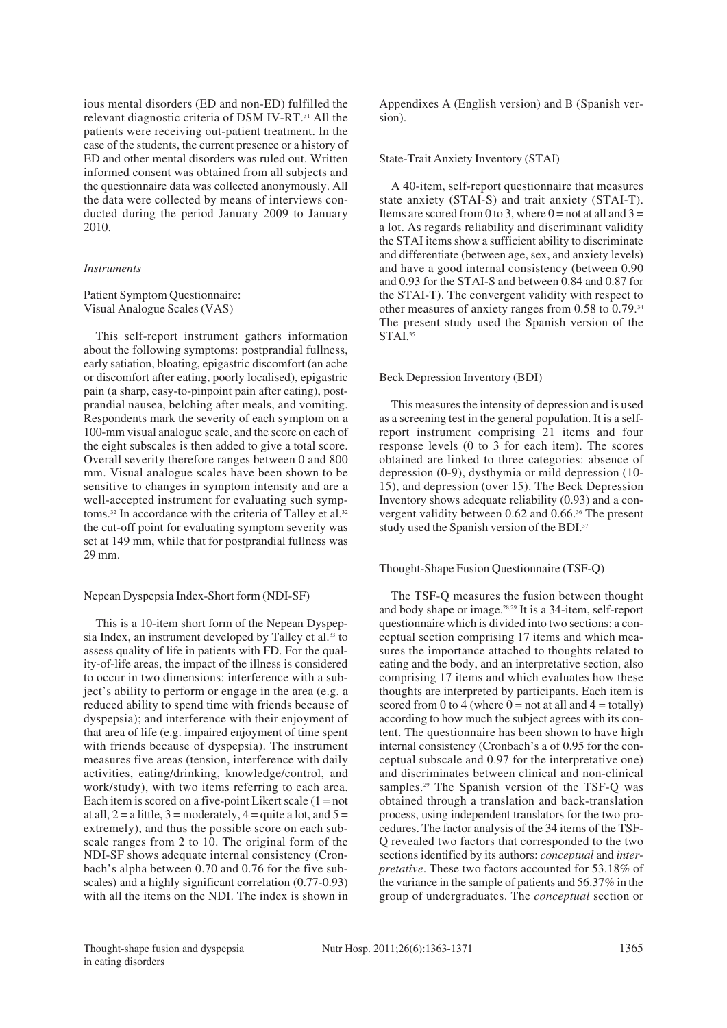ious mental disorders (ED and non-ED) fulfilled the relevant diagnostic criteria of DSM IV-RT.31 All the patients were receiving out-patient treatment. In the case of the students, the current presence or a history of ED and other mental disorders was ruled out. Written informed consent was obtained from all subjects and the questionnaire data was collected anonymously. All the data were collected by means of interviews conducted during the period January 2009 to January 2010.

#### *Instruments*

Patient Symptom Questionnaire: Visual Analogue Scales (VAS)

This self-report instrument gathers information about the following symptoms: postprandial fullness, early satiation, bloating, epigastric discomfort (an ache or discomfort after eating, poorly localised), epigastric pain (a sharp, easy-to-pinpoint pain after eating), postprandial nausea, belching after meals, and vomiting. Respondents mark the severity of each symptom on a 100-mm visual analogue scale, and the score on each of the eight subscales is then added to give a total score. Overall severity therefore ranges between 0 and 800 mm. Visual analogue scales have been shown to be sensitive to changes in symptom intensity and are a well-accepted instrument for evaluating such symptoms.<sup>32</sup> In accordance with the criteria of Talley et al.<sup>32</sup> the cut-off point for evaluating symptom severity was set at 149 mm, while that for postprandial fullness was 29 mm.

#### Nepean Dyspepsia Index-Short form (NDI-SF)

This is a 10-item short form of the Nepean Dyspepsia Index, an instrument developed by Talley et al.<sup>33</sup> to assess quality of life in patients with FD. For the quality-of-life areas, the impact of the illness is considered to occur in two dimensions: interference with a subject's ability to perform or engage in the area (e.g. a reduced ability to spend time with friends because of dyspepsia); and interference with their enjoyment of that area of life (e.g. impaired enjoyment of time spent with friends because of dyspepsia). The instrument measures five areas (tension, interference with daily activities, eating/drinking, knowledge/control, and work/study), with two items referring to each area. Each item is scored on a five-point Likert scale  $(1 = not$ at all,  $2 = a$  little,  $3 =$  moderately,  $4 =$  quite a lot, and  $5 =$ extremely), and thus the possible score on each subscale ranges from 2 to 10. The original form of the NDI-SF shows adequate internal consistency (Cronbach's alpha between 0.70 and 0.76 for the five subscales) and a highly significant correlation (0.77-0.93) with all the items on the NDI. The index is shown in

Appendixes A (English version) and B (Spanish version).

## State-Trait Anxiety Inventory (STAI)

A 40-item, self-report questionnaire that measures state anxiety (STAI-S) and trait anxiety (STAI-T). Items are scored from 0 to 3, where  $0 =$  not at all and  $3 =$ a lot. As regards reliability and discriminant validity the STAI items show a sufficient ability to discriminate and differentiate (between age, sex, and anxiety levels) and have a good internal consistency (between 0.90 and 0.93 for the STAI-S and between 0.84 and 0.87 for the STAI-T). The convergent validity with respect to other measures of anxiety ranges from 0.58 to 0.79.34 The present study used the Spanish version of the STAL<sup>35</sup>

## Beck Depression Inventory (BDI)

This measures the intensity of depression and is used as a screening test in the general population. It is a selfreport instrument comprising 21 items and four response levels (0 to 3 for each item). The scores obtained are linked to three categories: absence of depression (0-9), dysthymia or mild depression (10- 15), and depression (over 15). The Beck Depression Inventory shows adequate reliability (0.93) and a convergent validity between 0.62 and 0.66.36 The present study used the Spanish version of the BDI.<sup>37</sup>

## Thought-Shape Fusion Questionnaire (TSF-Q)

The TSF-Q measures the fusion between thought and body shape or image.28,29 It is a 34-item, self-report questionnaire which is divided into two sections: a conceptual section comprising 17 items and which measures the importance attached to thoughts related to eating and the body, and an interpretative section, also comprising 17 items and which evaluates how these thoughts are interpreted by participants. Each item is scored from 0 to 4 (where  $0 =$  not at all and  $4 =$  totally) according to how much the subject agrees with its content. The questionnaire has been shown to have high internal consistency (Cronbach's a of 0.95 for the conceptual subscale and 0.97 for the interpretative one) and discriminates between clinical and non-clinical samples.29 The Spanish version of the TSF-Q was obtained through a translation and back-translation process, using independent translators for the two procedures. The factor analysis of the 34 items of the TSF-Q revealed two factors that corresponded to the two sections identified by its authors: *conceptual* and *interpretative*. These two factors accounted for 53.18% of the variance in the sample of patients and 56.37% in the group of undergraduates. The *conceptual* section or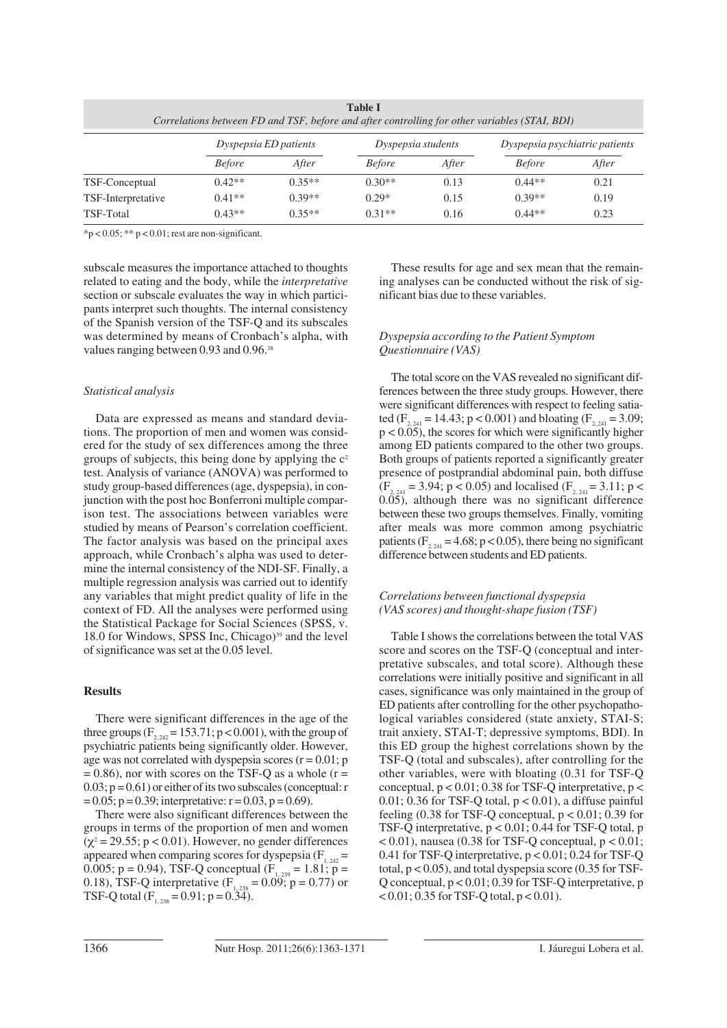| Correlations between FD and TSF, before and after controlling for other variables (STAI, BDI) |                       |          |                    |       |                                |       |  |  |  |
|-----------------------------------------------------------------------------------------------|-----------------------|----------|--------------------|-------|--------------------------------|-------|--|--|--|
|                                                                                               | Dyspepsia ED patients |          | Dyspepsia students |       | Dyspepsia psychiatric patients |       |  |  |  |
|                                                                                               | <b>Before</b>         | After    | <b>Before</b>      | After | <b>Before</b>                  | After |  |  |  |
| TSF-Conceptual                                                                                | $0.42**$              | $0.35**$ | $0.30**$           | 0.13  | $0.44**$                       | 0.21  |  |  |  |
| TSF-Interpretative                                                                            | $0.41**$              | $0.39**$ | $0.29*$            | 0.15  | $0.39**$                       | 0.19  |  |  |  |
| TSF-Total                                                                                     | $0.43**$              | $0.35**$ | $0.31**$           | 0.16  | $0.44**$                       | 0.23  |  |  |  |

**Table I**

 $*p < 0.05$ ;  $** p < 0.01$ ; rest are non-significant.

subscale measures the importance attached to thoughts related to eating and the body, while the *interpretative* section or subscale evaluates the way in which participants interpret such thoughts. The internal consistency of the Spanish version of the TSF-Q and its subscales was determined by means of Cronbach's alpha, with values ranging between 0.93 and 0.96.<sup>38</sup>

#### *Statistical analysis*

Data are expressed as means and standard deviations. The proportion of men and women was considered for the study of sex differences among the three groups of subjects, this being done by applying the  $c<sup>2</sup>$ test. Analysis of variance (ANOVA) was performed to study group-based differences (age, dyspepsia), in conjunction with the post hoc Bonferroni multiple comparison test. The associations between variables were studied by means of Pearson's correlation coefficient. The factor analysis was based on the principal axes approach, while Cronbach's alpha was used to determine the internal consistency of the NDI-SF. Finally, a multiple regression analysis was carried out to identify any variables that might predict quality of life in the context of FD. All the analyses were performed using the Statistical Package for Social Sciences (SPSS, v. 18.0 for Windows, SPSS Inc, Chicago)<sup>39</sup> and the level of significance was set at the 0.05 level.

#### **Results**

There were significant differences in the age of the three groups  $(F_{2, 24} = 153.71; p < 0.001)$ , with the group of psychiatric patients being significantly older. However, age was not correlated with dyspepsia scores  $(r = 0.01; p$  $= 0.86$ ), nor with scores on the TSF-Q as a whole (r =  $0.03$ ;  $p = 0.61$ ) or either of its two subscales (conceptual: r  $= 0.05$ ; p = 0.39; interpretative: r = 0.03, p = 0.69).

There were also significant differences between the groups in terms of the proportion of men and women  $(\chi^2 = 29.55; p < 0.01)$ . However, no gender differences appeared when comparing scores for dyspepsia  $(F_{1, 242} =$ 0.005; p = 0.94), TSF-Q conceptual ( $F_{1,239}$  = 1.81; p = 0.18), TSF-Q interpretative  $(F_{1, 238} = 0.09; p = 0.77)$  or TSF-Q total ( $F_{1, 238} = 0.91$ ; p = 0.34).

These results for age and sex mean that the remaining analyses can be conducted without the risk of significant bias due to these variables.

## *Dyspepsia according to the Patient Symptom Questionnaire (VAS)*

The total score on the VAS revealed no significant differences between the three study groups. However, there were significant differences with respect to feeling satiated ( $F_{2, 241} = 14.43$ ; p < 0.001) and bloating ( $F_{2, 241} = 3.09$ ;  $p < 0.05$ ), the scores for which were significantly higher among ED patients compared to the other two groups. Both groups of patients reported a significantly greater presence of postprandial abdominal pain, both diffuse  $(F_{2, 241} = 3.94; p < 0.05)$  and localised  $(F_{2, 241} = 3.11; p <$ 0.05), although there was no significant difference between these two groups themselves. Finally, vomiting after meals was more common among psychiatric patients ( $F_{2, 241} = 4.68$ ; p < 0.05), there being no significant difference between students and ED patients.

## *Correlations between functional dyspepsia (VAS scores) and thought-shape fusion (TSF)*

Table I shows the correlations between the total VAS score and scores on the TSF-Q (conceptual and interpretative subscales, and total score). Although these correlations were initially positive and significant in all cases, significance was only maintained in the group of ED patients after controlling for the other psychopathological variables considered (state anxiety, STAI-S; trait anxiety, STAI-T; depressive symptoms, BDI). In this ED group the highest correlations shown by the TSF-Q (total and subscales), after controlling for the other variables, were with bloating (0.31 for TSF-Q conceptual,  $p < 0.01$ ; 0.38 for TSF-Q interpretative,  $p <$ 0.01; 0.36 for TSF-Q total,  $p < 0.01$ ), a diffuse painful feeling  $(0.38$  for TSF-Q conceptual,  $p < 0.01$ ; 0.39 for TSF-Q interpretative,  $p < 0.01$ ; 0.44 for TSF-Q total, p  $< 0.01$ ), nausea (0.38 for TSF-Q conceptual,  $p < 0.01$ ; 0.41 for TSF-Q interpretative, p < 0.01; 0.24 for TSF-Q total,  $p < 0.05$ ), and total dyspepsia score (0.35 for TSF-Q conceptual, p < 0.01; 0.39 for TSF-Q interpretative, p  $< 0.01$ ; 0.35 for TSF-Q total,  $p < 0.01$ ).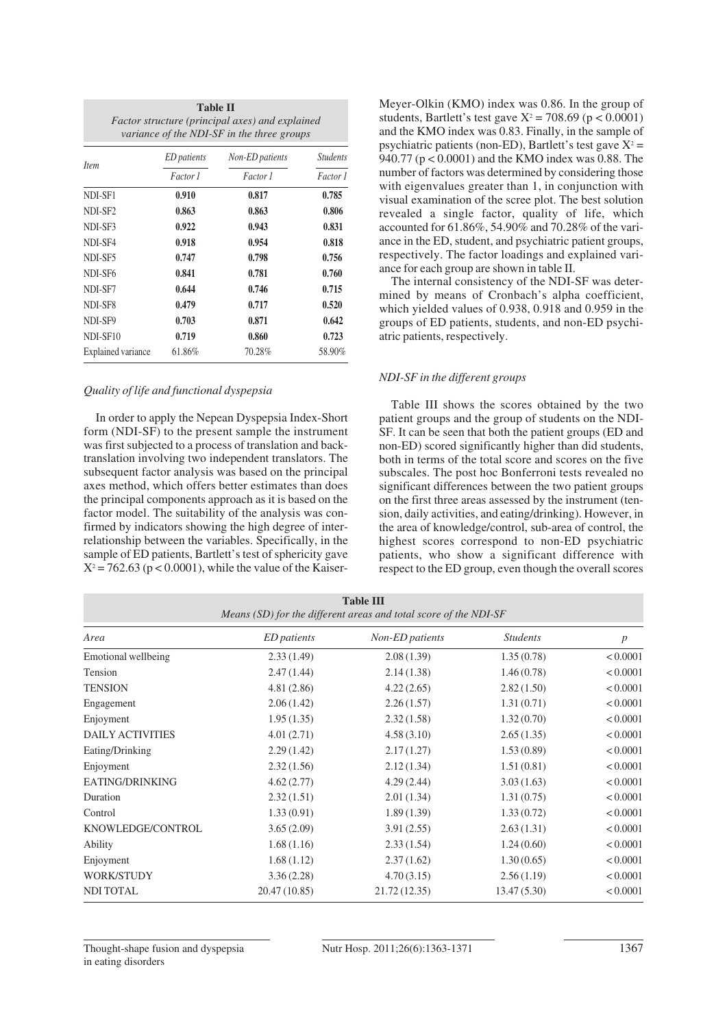| Table II<br>Factor structure (principal axes) and explained<br>variance of the NDI-SF in the three groups |                    |                 |                             |  |  |  |  |
|-----------------------------------------------------------------------------------------------------------|--------------------|-----------------|-----------------------------|--|--|--|--|
| <i>Item</i>                                                                                               | <i>ED</i> patients | Non-ED patients | <b>Students</b><br>Factor 1 |  |  |  |  |
|                                                                                                           | Factor 1           | Factor 1        |                             |  |  |  |  |
| NDI-SF1                                                                                                   | 0.910              | 0.817           | 0.785                       |  |  |  |  |
| NDI-SF <sub>2</sub>                                                                                       | 0.863              | 0.863           | 0.806                       |  |  |  |  |
| NDI-SF3                                                                                                   | 0.922              | 0.943           | 0.831                       |  |  |  |  |
| NDI-SF4                                                                                                   | 0.918              | 0.954           | 0.818                       |  |  |  |  |
| NDI-SF5                                                                                                   | 0.747              | 0.798           | 0.756                       |  |  |  |  |
| NDI-SF <sub>6</sub>                                                                                       | 0.841              | 0.781           | 0.760                       |  |  |  |  |
| NDI-SF7                                                                                                   | 0.644              | 0.746           | 0.715                       |  |  |  |  |
| NDI-SF8                                                                                                   | 0.479              | 0.717           | 0.520                       |  |  |  |  |
| NDI-SF9                                                                                                   | 0.703              | 0.871           | 0.642                       |  |  |  |  |
| NDI-SF10                                                                                                  | 0.719              | 0.860           | 0.723                       |  |  |  |  |
| <b>Explained variance</b>                                                                                 | 61.86%             | 70.28%          | 58.90%                      |  |  |  |  |

#### *Quality of life and functional dyspepsia*

In order to apply the Nepean Dyspepsia Index-Short form (NDI-SF) to the present sample the instrument was first subjected to a process of translation and backtranslation involving two independent translators. The subsequent factor analysis was based on the principal axes method, which offers better estimates than does the principal components approach as it is based on the factor model. The suitability of the analysis was confirmed by indicators showing the high degree of interrelationship between the variables. Specifically, in the sample of ED patients, Bartlett's test of sphericity gave  $X^2 = 762.63$  (p < 0.0001), while the value of the KaiserMeyer-Olkin (KMO) index was 0.86. In the group of students, Bartlett's test gave  $X^2 = 708.69$  (p < 0.0001) and the KMO index was 0.83. Finally, in the sample of psychiatric patients (non-ED), Bartlett's test gave  $X^2$  = 940.77 (p < 0.0001) and the KMO index was 0.88. The number of factors was determined by considering those with eigenvalues greater than 1, in conjunction with visual examination of the scree plot. The best solution revealed a single factor, quality of life, which accounted for 61.86%, 54.90% and 70.28% of the variance in the ED, student, and psychiatric patient groups, respectively. The factor loadings and explained variance for each group are shown in table II.

The internal consistency of the NDI-SF was determined by means of Cronbach's alpha coefficient, which yielded values of 0.938, 0.918 and 0.959 in the groups of ED patients, students, and non-ED psychiatric patients, respectively.

#### *NDI-SF in the different groups*

Table III shows the scores obtained by the two patient groups and the group of students on the NDI-SF. It can be seen that both the patient groups (ED and non-ED) scored significantly higher than did students, both in terms of the total score and scores on the five subscales. The post hoc Bonferroni tests revealed no significant differences between the two patient groups on the first three areas assessed by the instrument (tension, daily activities, and eating/drinking). However, in the area of knowledge/control, sub-area of control, the highest scores correspond to non-ED psychiatric patients, who show a significant difference with respect to the ED group, even though the overall scores

| <b>Table III</b><br>Means (SD) for the different areas and total score of the NDI-SF |                    |                 |                 |                  |  |  |  |  |  |
|--------------------------------------------------------------------------------------|--------------------|-----------------|-----------------|------------------|--|--|--|--|--|
| Area                                                                                 | <b>ED</b> patients | Non-ED patients | <b>Students</b> | $\boldsymbol{p}$ |  |  |  |  |  |
| Emotional wellbeing                                                                  | 2.33(1.49)         | 2.08(1.39)      | 1.35(0.78)      | < 0.0001         |  |  |  |  |  |
| Tension                                                                              | 2.47(1.44)         | 2.14(1.38)      | 1.46(0.78)      | < 0.0001         |  |  |  |  |  |
| <b>TENSION</b>                                                                       | 4.81(2.86)         | 4.22(2.65)      | 2.82(1.50)      | < 0.0001         |  |  |  |  |  |
| Engagement                                                                           | 2.06(1.42)         | 2.26(1.57)      | 1.31(0.71)      | < 0.0001         |  |  |  |  |  |
| Enjoyment                                                                            | 1.95(1.35)         | 2.32(1.58)      | 1.32(0.70)      | < 0.0001         |  |  |  |  |  |
| <b>DAILY ACTIVITIES</b>                                                              | 4.01(2.71)         | 4.58(3.10)      | 2.65(1.35)      | < 0.0001         |  |  |  |  |  |
| Eating/Drinking                                                                      | 2.29(1.42)         | 2.17(1.27)      | 1.53(0.89)      | < 0.0001         |  |  |  |  |  |
| Enjoyment                                                                            | 2.32(1.56)         | 2.12(1.34)      | 1.51(0.81)      | < 0.0001         |  |  |  |  |  |
| EATING/DRINKING                                                                      | 4.62(2.77)         | 4.29(2.44)      | 3.03(1.63)      | < 0.0001         |  |  |  |  |  |
| Duration                                                                             | 2.32(1.51)         | 2.01(1.34)      | 1.31(0.75)      | < 0.0001         |  |  |  |  |  |
| Control                                                                              | 1.33(0.91)         | 1.89(1.39)      | 1.33(0.72)      | < 0.0001         |  |  |  |  |  |
| KNOWLEDGE/CONTROL                                                                    | 3.65(2.09)         | 3.91(2.55)      | 2.63(1.31)      | < 0.0001         |  |  |  |  |  |
| Ability                                                                              | 1.68(1.16)         | 2.33(1.54)      | 1.24(0.60)      | < 0.0001         |  |  |  |  |  |
| Enjoyment                                                                            | 1.68(1.12)         | 2.37(1.62)      | 1.30(0.65)      | < 0.0001         |  |  |  |  |  |
| WORK/STUDY                                                                           | 3.36(2.28)         | 4.70(3.15)      | 2.56(1.19)      | < 0.0001         |  |  |  |  |  |
| <b>NDI TOTAL</b>                                                                     | 20.47 (10.85)      | 21.72 (12.35)   | 13.47(5.30)     | < 0.0001         |  |  |  |  |  |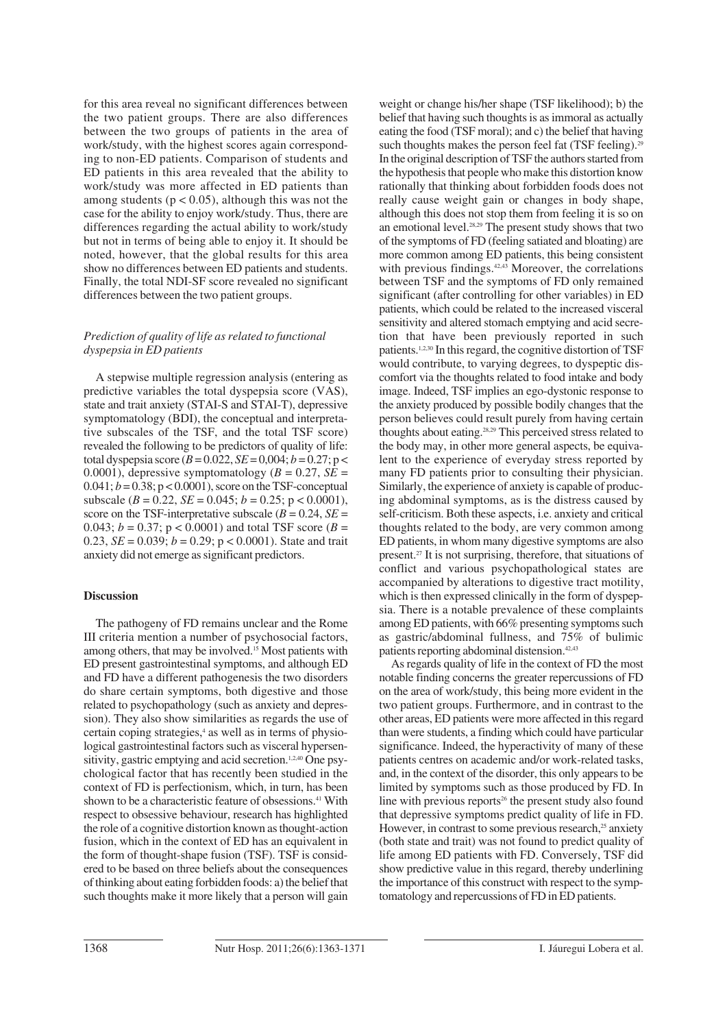for this area reveal no significant differences between the two patient groups. There are also differences between the two groups of patients in the area of work/study, with the highest scores again corresponding to non-ED patients. Comparison of students and ED patients in this area revealed that the ability to work/study was more affected in ED patients than among students ( $p < 0.05$ ), although this was not the case for the ability to enjoy work/study. Thus, there are differences regarding the actual ability to work/study but not in terms of being able to enjoy it. It should be noted, however, that the global results for this area show no differences between ED patients and students. Finally, the total NDI-SF score revealed no significant differences between the two patient groups.

## *Prediction of quality of life as related to functional dyspepsia in ED patients*

A stepwise multiple regression analysis (entering as predictive variables the total dyspepsia score (VAS), state and trait anxiety (STAI-S and STAI-T), depressive symptomatology (BDI), the conceptual and interpretative subscales of the TSF, and the total TSF score) revealed the following to be predictors of quality of life: total dyspepsia score  $(B = 0.022, SE = 0.004; b = 0.27; p <$ 0.0001), depressive symptomatology ( $B = 0.27$ ,  $SE =$  $0.041$ ;  $b = 0.38$ ;  $p < 0.0001$ ), score on the TSF-conceptual subscale ( $B = 0.22$ ,  $SE = 0.045$ ;  $b = 0.25$ ;  $p < 0.0001$ ), score on the TSF-interpretative subscale  $(B = 0.24, SE =$ 0.043;  $b = 0.37$ ;  $p < 0.0001$ ) and total TSF score ( $B = 0.043$ ) 0.23,  $SE = 0.039$ ;  $b = 0.29$ ;  $p < 0.0001$ ). State and trait anxiety did not emerge as significant predictors.

## **Discussion**

The pathogeny of FD remains unclear and the Rome III criteria mention a number of psychosocial factors, among others, that may be involved.15 Most patients with ED present gastrointestinal symptoms, and although ED and FD have a different pathogenesis the two disorders do share certain symptoms, both digestive and those related to psychopathology (such as anxiety and depression). They also show similarities as regards the use of certain coping strategies,<sup>4</sup> as well as in terms of physiological gastrointestinal factors such as visceral hypersensitivity, gastric emptying and acid secretion.<sup>1,2,40</sup> One psychological factor that has recently been studied in the context of FD is perfectionism, which, in turn, has been shown to be a characteristic feature of obsessions.<sup>41</sup> With respect to obsessive behaviour, research has highlighted the role of a cognitive distortion known as thought-action fusion, which in the context of ED has an equivalent in the form of thought-shape fusion (TSF). TSF is considered to be based on three beliefs about the consequences of thinking about eating forbidden foods: a) the belief that such thoughts make it more likely that a person will gain

weight or change his/her shape (TSF likelihood); b) the belief that having such thoughts is as immoral as actually eating the food (TSF moral); and c) the belief that having such thoughts makes the person feel fat (TSF feeling).<sup>29</sup> In the original description of TSF the authors started from the hypothesis that people who make this distortion know rationally that thinking about forbidden foods does not really cause weight gain or changes in body shape, although this does not stop them from feeling it is so on an emotional level.28,29 The present study shows that two of the symptoms of FD (feeling satiated and bloating) are more common among ED patients, this being consistent with previous findings.<sup>42,43</sup> Moreover, the correlations between TSF and the symptoms of FD only remained significant (after controlling for other variables) in ED patients, which could be related to the increased visceral sensitivity and altered stomach emptying and acid secretion that have been previously reported in such patients.1,2,30 In this regard, the cognitive distortion of TSF would contribute, to varying degrees, to dyspeptic discomfort via the thoughts related to food intake and body image. Indeed, TSF implies an ego-dystonic response to the anxiety produced by possible bodily changes that the person believes could result purely from having certain thoughts about eating.28,29 This perceived stress related to the body may, in other more general aspects, be equivalent to the experience of everyday stress reported by many FD patients prior to consulting their physician. Similarly, the experience of anxiety is capable of producing abdominal symptoms, as is the distress caused by self-criticism. Both these aspects, i.e. anxiety and critical thoughts related to the body, are very common among ED patients, in whom many digestive symptoms are also present.27 It is not surprising, therefore, that situations of conflict and various psychopathological states are accompanied by alterations to digestive tract motility, which is then expressed clinically in the form of dyspepsia. There is a notable prevalence of these complaints among ED patients, with 66% presenting symptoms such as gastric/abdominal fullness, and 75% of bulimic patients reporting abdominal distension.42,43

As regards quality of life in the context of FD the most notable finding concerns the greater repercussions of FD on the area of work/study, this being more evident in the two patient groups. Furthermore, and in contrast to the other areas, ED patients were more affected in this regard than were students, a finding which could have particular significance. Indeed, the hyperactivity of many of these patients centres on academic and/or work-related tasks, and, in the context of the disorder, this only appears to be limited by symptoms such as those produced by FD. In line with previous reports<sup>26</sup> the present study also found that depressive symptoms predict quality of life in FD. However, in contrast to some previous research, $25$  anxiety (both state and trait) was not found to predict quality of life among ED patients with FD. Conversely, TSF did show predictive value in this regard, thereby underlining the importance of this construct with respect to the symptomatology and repercussions of FD in ED patients.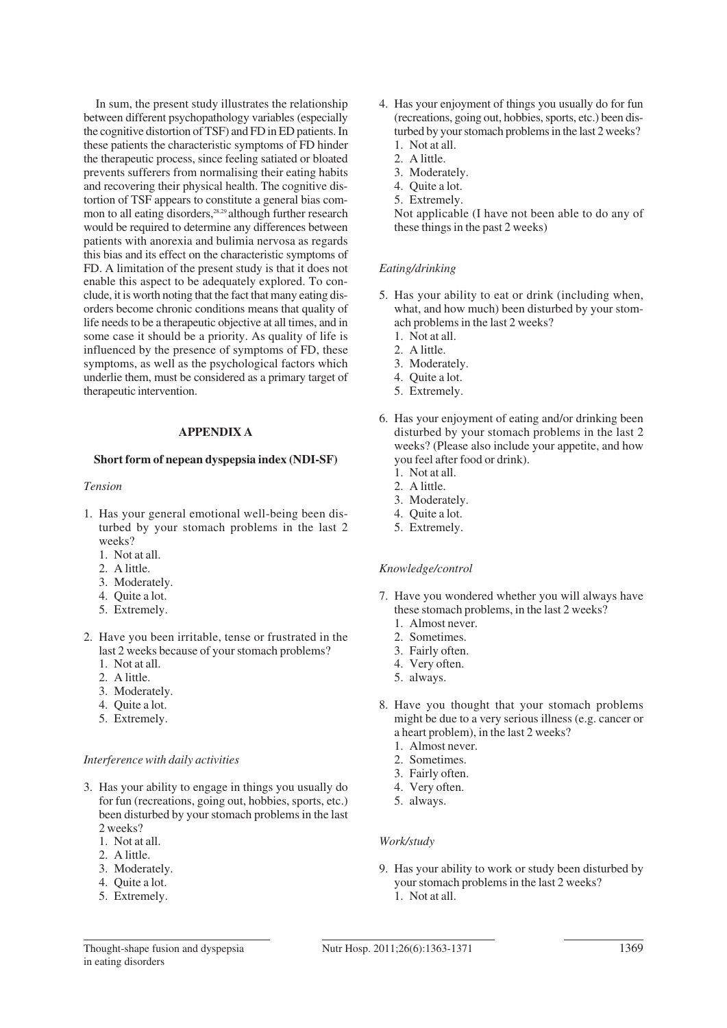In sum, the present study illustrates the relationship between different psychopathology variables (especially the cognitive distortion of TSF) and FD in ED patients. In these patients the characteristic symptoms of FD hinder the therapeutic process, since feeling satiated or bloated prevents sufferers from normalising their eating habits and recovering their physical health. The cognitive distortion of TSF appears to constitute a general bias common to all eating disorders,<sup>28,29</sup> although further research would be required to determine any differences between patients with anorexia and bulimia nervosa as regards this bias and its effect on the characteristic symptoms of FD. A limitation of the present study is that it does not enable this aspect to be adequately explored. To conclude, it is worth noting that the fact that many eating disorders become chronic conditions means that quality of life needs to be a therapeutic objective at all times, and in some case it should be a priority. As quality of life is influenced by the presence of symptoms of FD, these symptoms, as well as the psychological factors which underlie them, must be considered as a primary target of therapeutic intervention.

## **APPENDIX A**

## **Short form of nepean dyspepsia index (NDI-SF)**

#### *Tension*

- 1. Has your general emotional well-being been disturbed by your stomach problems in the last 2 weeks?
	- 1. Not at all.
	- 2. A little.
	- 3. Moderately.
	- 4. Ouite a lot.
	- 5. Extremely.
- 2. Have you been irritable, tense or frustrated in the last 2 weeks because of your stomach problems?
	- 2. 1. Not at all.
	- 2. A little.
	- 2. 3. Moderately.
	- 2. 4. Quite a lot.
	- 5. Extremely.

#### *Interference with daily activities*

- 3. Has your ability to engage in things you usually do for fun (recreations, going out, hobbies, sports, etc.) been disturbed by your stomach problems in the last 2 weeks?
	- 1. Not at all.
	- 3. 2. A little.
	- 3. Moderately.
	- 4. Quite a lot.
	- 3. 5. Extremely.
- 4. Has your enjoyment of things you usually do for fun (recreations, going out, hobbies, sports, etc.) been disturbed by your stomach problems in the last 2 weeks? 4. 1. Not at all.
	- 2. A little.
	- 3. Moderately.
	- 4. Quite a lot.
	- 5. Extremely.

Not applicable (I have not been able to do any of these things in the past 2 weeks)

#### *Eating/drinking*

- 5. Has your ability to eat or drink (including when, what, and how much) been disturbed by your stomach problems in the last 2 weeks?
	- 1. Not at all.
	- 5. 2. A little.
	- 5. 3. Moderately.
	- 4. Quite a lot.
	- 5. 5. Extremely.
- 6. Has your enjoyment of eating and/or drinking been disturbed by your stomach problems in the last 2 weeks? (Please also include your appetite, and how you feel after food or drink).
	- 1. Not at all.
	- 2. A little.
	- 3. Moderately.
	- 4. Ouite a lot.
	- 6. 5. Extremely.

#### *Knowledge/control*

- 7. Have you wondered whether you will always have these stomach problems, in the last 2 weeks?
	- 1. Almost never.
	- 2. Sometimes.
	- 7. 3. Fairly often.
	- 4. Very often.
	- 7. 5. always.
- 8. Have you thought that your stomach problems might be due to a very serious illness (e.g. cancer or a heart problem), in the last 2 weeks?
	- 1. Almost never.
	- 2. Sometimes.
	- 8. 3. Fairly often.
	- 4. Very often.
	- 8. 5. always.

#### *Work/study*

9. Has your ability to work or study been disturbed by your stomach problems in the last 2 weeks? 1. Not at all.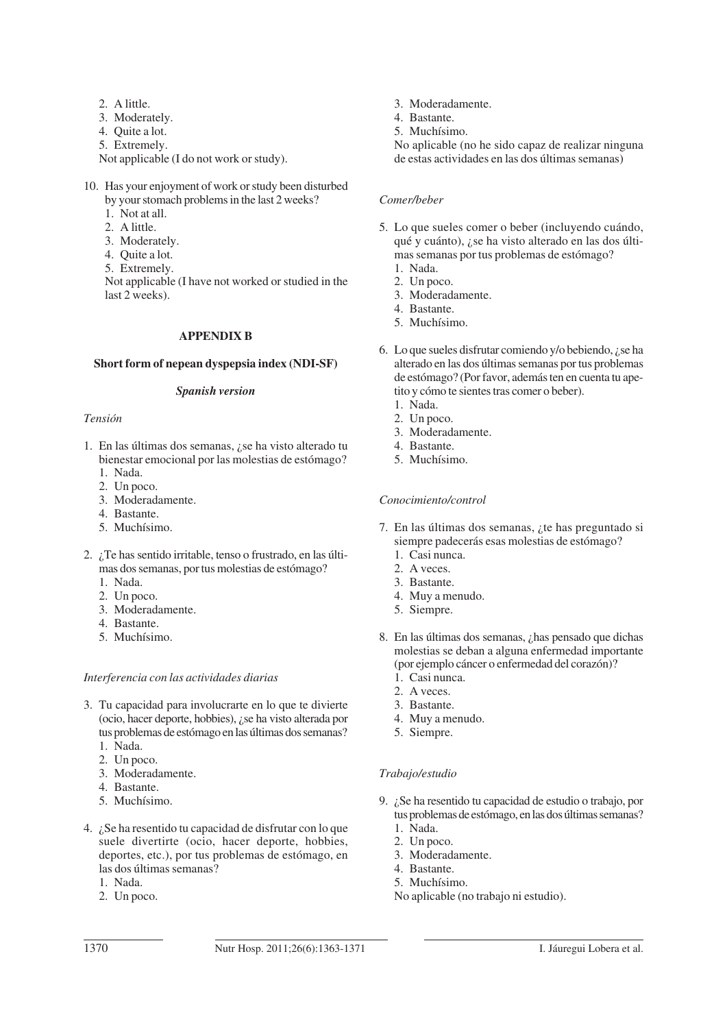- 9. 2. A little.
- 9. 3. Moderately.
- 9. 4. Quite a lot.
- 5. Extremely.

Not applicable (I do not work or study).

- 10. Has your enjoyment of work or study been disturbed by your stomach problems in the last 2 weeks?
	- 1. Not at all.
	- 2. A little.
	- 3. Moderately.
	- 4. Ouite a lot.
	- 5. Extremely.

Not applicable (I have not worked or studied in the last 2 weeks).

## **APPENDIX B**

## **Short form of nepean dyspepsia index (NDI-SF)**

## *Spanish version*

## *Tensión*

- 1. En las últimas dos semanas, ¿se ha visto alterado tu bienestar emocional por las molestias de estómago?
	- 1. Nada.
	- 2. Un poco.
	- 1. 3. Moderadamente.
	- 1. 4. Bastante.
	- 5. Muchísimo.
- 2. ¿Te has sentido irritable, tenso o frustrado, en las últimas dos semanas, por tus molestias de estómago?
	- 1. Nada.
	- 2. Un poco.
	- 1. 3. Moderadamente.
	- 1. 4. Bastante.
	- 5. Muchísimo.

## *Interferencia con las actividades diarias*

- 3. Tu capacidad para involucrarte en lo que te divierte (ocio, hacer deporte, hobbies), ¿se ha visto alterada por tus problemas de estómago en las últimas dos semanas?
	- 1. 1. Nada.
	- 2. Un poco.
	- 1. 3. Moderadamente.
	- 1. 4. Bastante.
	- 5. Muchísimo.
- 4. ¿Se ha resentido tu capacidad de disfrutar con lo que suele divertirte (ocio, hacer deporte, hobbies, deportes, etc.), por tus problemas de estómago, en las dos últimas semanas?
	- 1. Nada.
	- 2. Un poco.
- 1. 3. Moderadamente.
- 1. 4. Bastante.
- 5. Muchísimo.

1. No aplicable (no he sido capaz de realizar ninguna de estas actividades en las dos últimas semanas)

## *Comer/beber*

- 5. Lo que sueles comer o beber (incluyendo cuándo, qué y cuánto), ¿se ha visto alterado en las dos últimas semanas por tus problemas de estómago?
	- 1. Nada. 2. Un poco.
	- 1. 3. Moderadamente.
	- 1. 4. Bastante.
	- 5. Muchísimo.
- 6. Lo que sueles disfrutar comiendo y/o bebiendo, ¿se ha alterado en las dos últimas semanas por tus problemas de estómago? (Por favor, además ten en cuenta tu apetito y cómo te sientes tras comer o beber).
	- 1. Nada.
	- 2. Un poco.
	- 1. 3. Moderadamente.
	- 1. 4. Bastante. 5. Muchísimo.

## *Conocimiento/control*

- 7. En las últimas dos semanas, ¿te has preguntado si siempre padecerás esas molestias de estómago?
	- 1. Casi nunca.
	- 2. A veces.
	- 7. 3. Bastante.
	- 7. 4. Muy a menudo.
	- 5. Siempre.
- 8. En las últimas dos semanas, ¿has pensado que dichas molestias se deban a alguna enfermedad importante (por ejemplo cáncer o enfermedad del corazón)?
	- 1. Casi nunca.
	- 2. A veces.
	- 7. 3. Bastante.
	- 4. Muy a menudo.
	- 5. Siempre.

## *Trabajo/estudio*

- 9. ¿Se ha resentido tu capacidad de estudio o trabajo, por tus problemas de estómago, en las dos últimas semanas?
	- 1. Nada.
	- 2. Un poco.
	- 1. 3. Moderadamente.
	- 1. 4. Bastante.
	- 5. Muchísimo.
	- 1. No aplicable (no trabajo ni estudio).